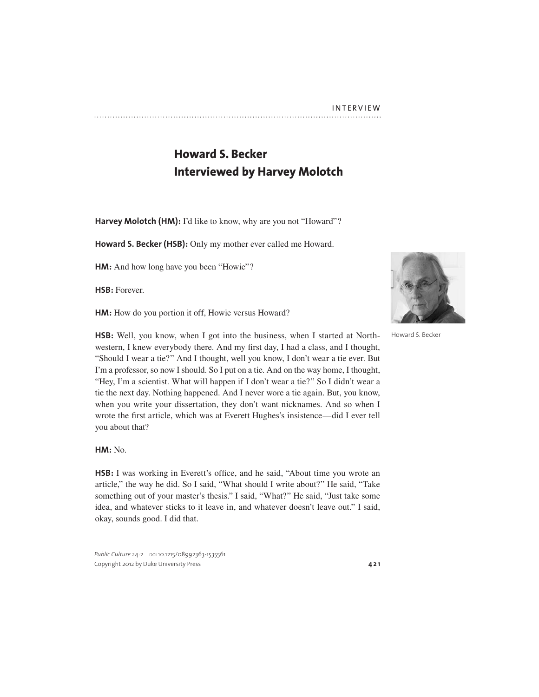# **Howard S. Becker Interviewed by Harvey Molotch**

Harvey Molotch (HM): I'd like to know, why are you not "Howard"?

**Howard S. Becker (HSB):** Only my mother ever called me Howard.

**HM:** And how long have you been "Howie"?

**HSB:** Forever.

**HM:** How do you portion it off, Howie versus Howard?

**HSB:** Well, you know, when I got into the business, when I started at Northwestern, I knew everybody there. And my first day, I had a class, and I thought, "Should I wear a tie?" And I thought, well you know, I don't wear a tie ever. But I'm a professor, so now I should. So I put on a tie. And on the way home, I thought, "Hey, I'm a scientist. What will happen if I don't wear a tie?" So I didn't wear a tie the next day. Nothing happened. And I never wore a tie again. But, you know, when you write your dissertation, they don't want nicknames. And so when I wrote the first article, which was at Everett Hughes's insistence — did I ever tell you about that?

**HM:** No.

**HSB:** I was working in Everett's office, and he said, "About time you wrote an article," the way he did. So I said, "What should I write about?" He said, "Take something out of your master's thesis." I said, "What?" He said, "Just take some idea, and whatever sticks to it leave in, and whatever doesn't leave out." I said, okay, sounds good. I did that.

Public Culture 24:2 DOI 10.1215/08992363-1535561 Copyright 2012 by Duke University Press



Howard S. Becker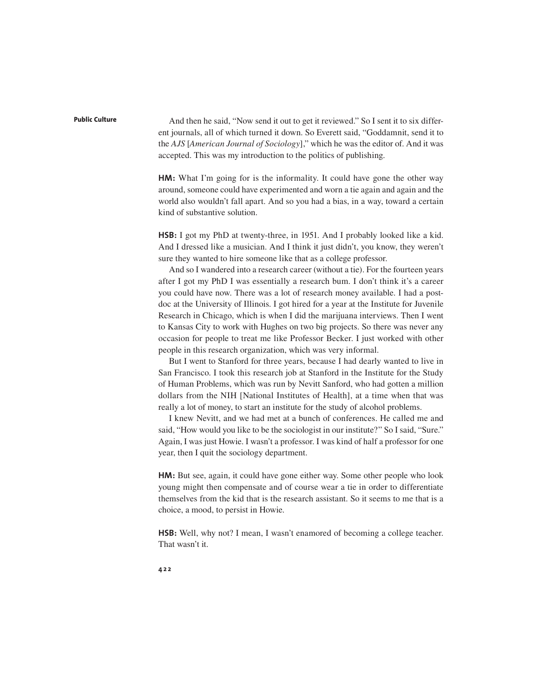### **Public Culture**

And then he said, "Now send it out to get it reviewed." So I sent it to six different journals, all of which turned it down. So Everett said, "Goddamnit, send it to the *AJS* [*American Journal of Sociology*]," which he was the editor of. And it was accepted. This was my introduction to the politics of publishing.

**HM:** What I'm going for is the informality. It could have gone the other way around, someone could have experimented and worn a tie again and again and the world also wouldn't fall apart. And so you had a bias, in a way, toward a certain kind of substantive solution.

**HSB:** I got my PhD at twenty-three, in 1951. And I probably looked like a kid. And I dressed like a musician. And I think it just didn't, you know, they weren't sure they wanted to hire someone like that as a college professor.

And so I wandered into a research career (without a tie). For the fourteen years after I got my PhD I was essentially a research bum. I don't think it's a career you could have now. There was a lot of research money available. I had a postdoc at the University of Illinois. I got hired for a year at the Institute for Juvenile Research in Chicago, which is when I did the marijuana interviews. Then I went to Kansas City to work with Hughes on two big projects. So there was never any occasion for people to treat me like Professor Becker. I just worked with other people in this research organization, which was very informal.

But I went to Stanford for three years, because I had dearly wanted to live in San Francisco. I took this research job at Stanford in the Institute for the Study of Human Problems, which was run by Nevitt Sanford, who had gotten a million dollars from the NIH [National Institutes of Health], at a time when that was really a lot of money, to start an institute for the study of alcohol problems.

I knew Nevitt, and we had met at a bunch of conferences. He called me and said, "How would you like to be the sociologist in our institute?" So I said, "Sure." Again, I was just Howie. I wasn't a professor. I was kind of half a professor for one year, then I quit the sociology department.

**HM:** But see, again, it could have gone either way. Some other people who look young might then compensate and of course wear a tie in order to differentiate themselves from the kid that is the research assistant. So it seems to me that is a choice, a mood, to persist in Howie.

**HSB:** Well, why not? I mean, I wasn't enamored of becoming a college teacher. That wasn't it.

**422**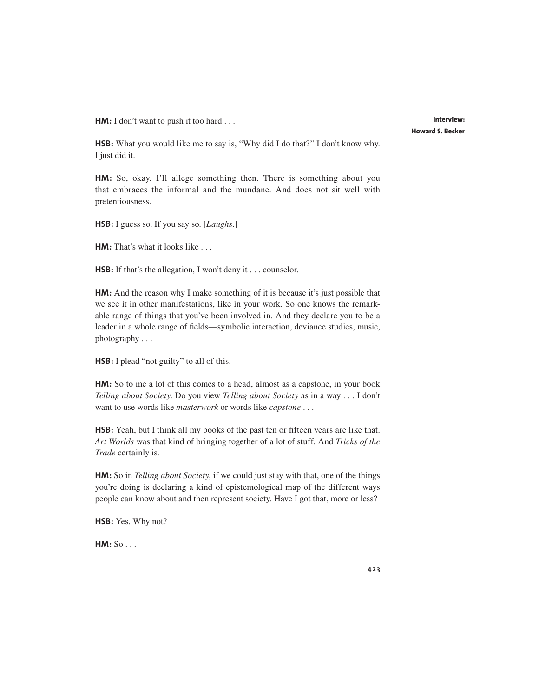**HM:** I don't want to push it too hard . . .

**Interview: Howard S. Becker**

**HSB:** What you would like me to say is, "Why did I do that?" I don't know why. I just did it.

**HM:** So, okay. I'll allege something then. There is something about you that embraces the informal and the mundane. And does not sit well with pretentiousness.

**HSB:** I guess so. If you say so. [*Laughs*.]

**HM:** That's what it looks like . . .

**HSB:** If that's the allegation, I won't deny it . . . counselor.

**HM:** And the reason why I make something of it is because it's just possible that we see it in other manifestations, like in your work. So one knows the remarkable range of things that you've been involved in. And they declare you to be a leader in a whole range of fields—symbolic interaction, deviance studies, music, photography . . .

**HSB:** I plead "not guilty" to all of this.

**HM:** So to me a lot of this comes to a head, almost as a capstone, in your book *Telling about Society*. Do you view *Telling about Society* as in a way . . . I don't want to use words like *masterwork* or words like *capstone* . . .

**HSB:** Yeah, but I think all my books of the past ten or fifteen years are like that. *Art Worlds* was that kind of bringing together of a lot of stuff. And *Tricks of the Trade* certainly is.

**HM:** So in *Telling about Society*, if we could just stay with that, one of the things you're doing is declaring a kind of epistemological map of the different ways people can know about and then represent society. Have I got that, more or less?

**HSB:** Yes. Why not?

**HM:** So . . .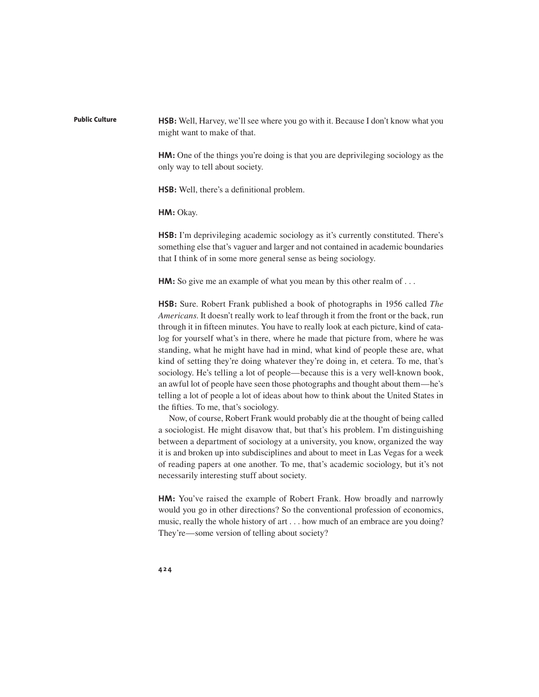#### **Public Culture HSB:** Well, Harvey, we'll see where you go with it. Because I don't know what you might want to make of that.

**HM:** One of the things you're doing is that you are deprivileging sociology as the only way to tell about society.

**HSB:** Well, there's a definitional problem.

**HM:** Okay.

**HSB:** I'm deprivileging academic sociology as it's currently constituted. There's something else that's vaguer and larger and not contained in academic boundaries that I think of in some more general sense as being sociology.

**HM:** So give me an example of what you mean by this other realm of ...

**HSB:** Sure. Robert Frank published a book of photographs in 1956 called *The Americans*. It doesn't really work to leaf through it from the front or the back, run through it in fifteen minutes. You have to really look at each picture, kind of catalog for yourself what's in there, where he made that picture from, where he was standing, what he might have had in mind, what kind of people these are, what kind of setting they're doing whatever they're doing in, et cetera. To me, that's sociology. He's telling a lot of people — because this is a very well-known book, an awful lot of people have seen those photographs and thought about them — he's telling a lot of people a lot of ideas about how to think about the United States in the fifties. To me, that's sociology.

Now, of course, Robert Frank would probably die at the thought of being called a sociologist. He might disavow that, but that's his problem. I'm distinguishing between a department of sociology at a university, you know, organized the way it is and broken up into subdisciplines and about to meet in Las Vegas for a week of reading papers at one another. To me, that's academic sociology, but it's not necessarily interesting stuff about society.

**HM:** You've raised the example of Robert Frank. How broadly and narrowly would you go in other directions? So the conventional profession of economics, music, really the whole history of art . . . how much of an embrace are you doing? They're—some version of telling about society?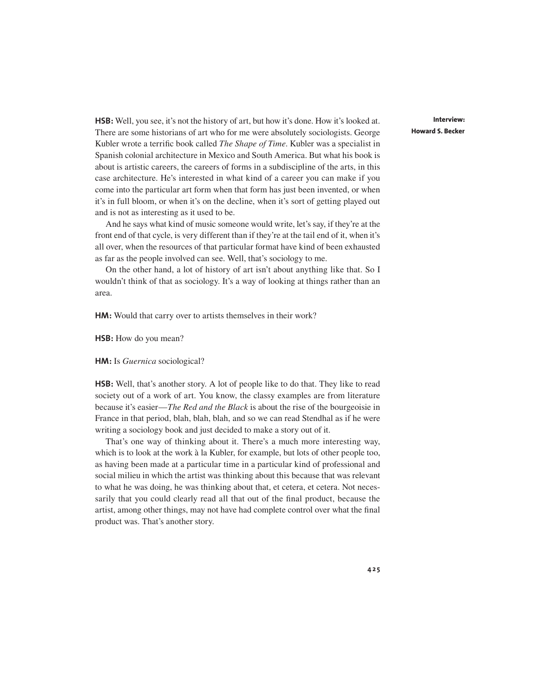## **Interview: Howard S. Becker**

**HSB:** Well, you see, it's not the history of art, but how it's done. How it's looked at. There are some historians of art who for me were absolutely sociologists. George Kubler wrote a terrific book called *The Shape of Time*. Kubler was a specialist in Spanish colonial architecture in Mexico and South America. But what his book is about is artistic careers, the careers of forms in a subdiscipline of the arts, in this case architecture. He's interested in what kind of a career you can make if you come into the particular art form when that form has just been invented, or when it's in full bloom, or when it's on the decline, when it's sort of getting played out and is not as interesting as it used to be.

And he says what kind of music someone would write, let's say, if they're at the front end of that cycle, is very different than if they're at the tail end of it, when it's all over, when the resources of that particular format have kind of been exhausted as far as the people involved can see. Well, that's sociology to me.

On the other hand, a lot of history of art isn't about anything like that. So I wouldn't think of that as sociology. It's a way of looking at things rather than an area.

**HM:** Would that carry over to artists themselves in their work?

**HSB:** How do you mean?

**HM:** Is *Guernica* sociological?

**HSB:** Well, that's another story. A lot of people like to do that. They like to read society out of a work of art. You know, the classy examples are from literature because it's easier — *The Red and the Black* is about the rise of the bourgeoisie in France in that period, blah, blah, blah, and so we can read Stendhal as if he were writing a sociology book and just decided to make a story out of it.

That's one way of thinking about it. There's a much more interesting way, which is to look at the work à la Kubler, for example, but lots of other people too, as having been made at a particular time in a particular kind of professional and social milieu in which the artist was thinking about this because that was relevant to what he was doing, he was thinking about that, et cetera, et cetera. Not necessarily that you could clearly read all that out of the final product, because the artist, among other things, may not have had complete control over what the final product was. That's another story.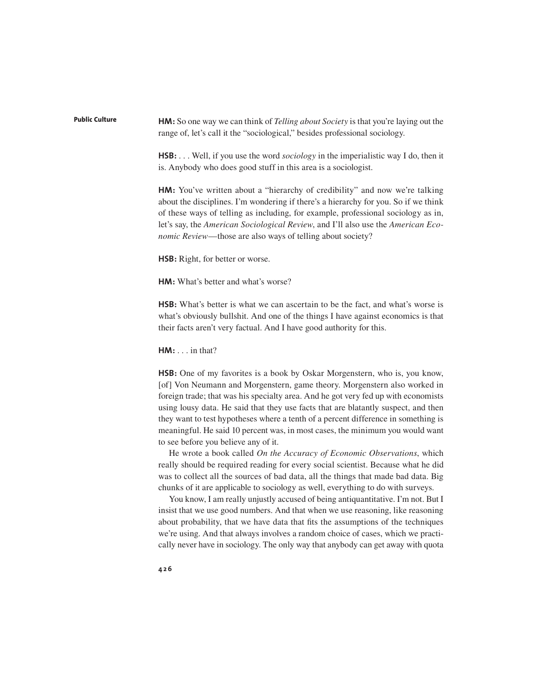**Public Culture HM:** So one way we can think of *Telling about Society* is that you're laying out the range of, let's call it the "sociological," besides professional sociology.

> **HSB:** . . . Well, if you use the word *sociology* in the imperialistic way I do, then it is. Anybody who does good stuff in this area is a sociologist.

> **HM:** You've written about a "hierarchy of credibility" and now we're talking about the disciplines. I'm wondering if there's a hierarchy for you. So if we think of these ways of telling as including, for example, professional sociology as in, let's say, the *American Sociological Review*, and I'll also use the *American Economic Review*—those are also ways of telling about society?

**HSB:** Right, for better or worse.

**HM:** What's better and what's worse?

**HSB:** What's better is what we can ascertain to be the fact, and what's worse is what's obviously bullshit. And one of the things I have against economics is that their facts aren't very factual. And I have good authority for this.

**HM:** . . . in that?

**HSB:** One of my favorites is a book by Oskar Morgenstern, who is, you know, [of] Von Neumann and Morgenstern, game theory. Morgenstern also worked in foreign trade; that was his specialty area. And he got very fed up with economists using lousy data. He said that they use facts that are blatantly suspect, and then they want to test hypotheses where a tenth of a percent difference in something is meaningful. He said 10 percent was, in most cases, the minimum you would want to see before you believe any of it.

He wrote a book called *On the Accuracy of Economic Observations*, which really should be required reading for every social scientist. Because what he did was to collect all the sources of bad data, all the things that made bad data. Big chunks of it are applicable to sociology as well, everything to do with surveys.

You know, I am really unjustly accused of being antiquantitative. I'm not. But I insist that we use good numbers. And that when we use reasoning, like reasoning about probability, that we have data that fits the assumptions of the techniques we're using. And that always involves a random choice of cases, which we practically never have in sociology. The only way that anybody can get away with quota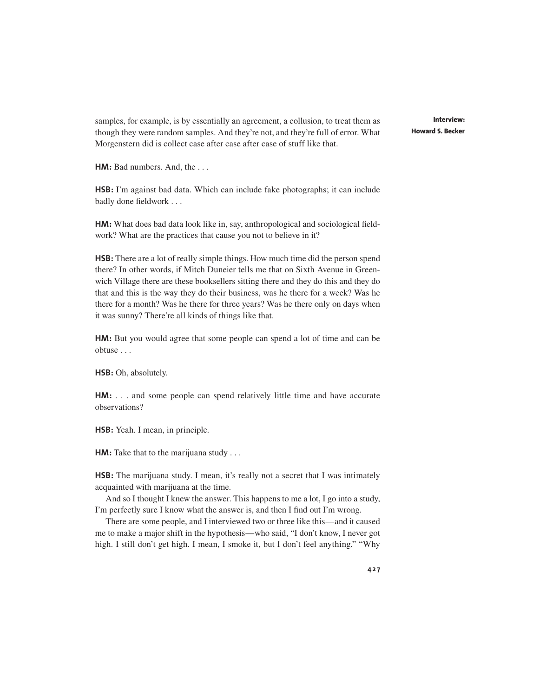samples, for example, is by essentially an agreement, a collusion, to treat them as though they were random samples. And they're not, and they're full of error. What Morgenstern did is collect case after case after case of stuff like that.

**Interview: Howard S. Becker**

**HM:** Bad numbers. And, the . . .

**HSB:** I'm against bad data. Which can include fake photographs; it can include badly done fieldwork . . .

**HM:** What does bad data look like in, say, anthropological and sociological fieldwork? What are the practices that cause you not to believe in it?

**HSB:** There are a lot of really simple things. How much time did the person spend there? In other words, if Mitch Duneier tells me that on Sixth Avenue in Greenwich Village there are these booksellers sitting there and they do this and they do that and this is the way they do their business, was he there for a week? Was he there for a month? Was he there for three years? Was he there only on days when it was sunny? There're all kinds of things like that.

**HM:** But you would agree that some people can spend a lot of time and can be obtuse . . .

**HSB:** Oh, absolutely.

**HM:** . . . and some people can spend relatively little time and have accurate observations?

**HSB:** Yeah. I mean, in principle.

**HM:** Take that to the marijuana study . . .

**HSB:** The marijuana study. I mean, it's really not a secret that I was intimately acquainted with marijuana at the time.

And so I thought I knew the answer. This happens to me a lot, I go into a study, I'm perfectly sure I know what the answer is, and then I find out I'm wrong.

There are some people, and I interviewed two or three like this—and it caused me to make a major shift in the hypothesis—who said, "I don't know, I never got high. I still don't get high. I mean, I smoke it, but I don't feel anything." "Why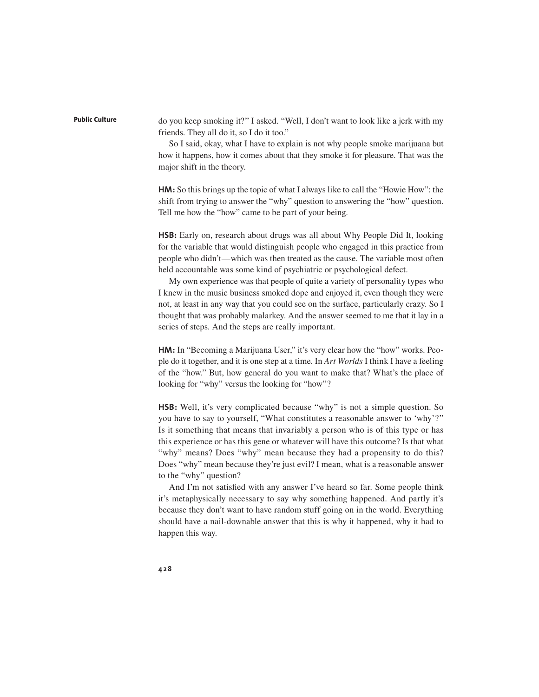#### **Public Culture**

do you keep smoking it?" I asked. "Well, I don't want to look like a jerk with my friends. They all do it, so I do it too."

So I said, okay, what I have to explain is not why people smoke marijuana but how it happens, how it comes about that they smoke it for pleasure. That was the major shift in the theory.

**HM:** So this brings up the topic of what I always like to call the "Howie How": the shift from trying to answer the "why" question to answering the "how" question. Tell me how the "how" came to be part of your being.

**HSB:** Early on, research about drugs was all about Why People Did It, looking for the variable that would distinguish people who engaged in this practice from people who didn't — which was then treated as the cause. The variable most often held accountable was some kind of psychiatric or psychological defect.

My own experience was that people of quite a variety of personality types who I knew in the music business smoked dope and enjoyed it, even though they were not, at least in any way that you could see on the surface, particularly crazy. So I thought that was probably malarkey. And the answer seemed to me that it lay in a series of steps. And the steps are really important.

**HM:** In "Becoming a Marijuana User," it's very clear how the "how" works. People do it together, and it is one step at a time. In *Art Worlds* I think I have a feeling of the "how." But, how general do you want to make that? What's the place of looking for "why" versus the looking for "how"?

**HSB:** Well, it's very complicated because "why" is not a simple question. So you have to say to yourself, "What constitutes a reasonable answer to 'why'?" Is it something that means that invariably a person who is of this type or has this experience or has this gene or whatever will have this outcome? Is that what "why" means? Does "why" mean because they had a propensity to do this? Does "why" mean because they're just evil? I mean, what is a reasonable answer to the "why" question?

And I'm not satisfied with any answer I've heard so far. Some people think it's metaphysically necessary to say why something happened. And partly it's because they don't want to have random stuff going on in the world. Everything should have a nail-downable answer that this is why it happened, why it had to happen this way.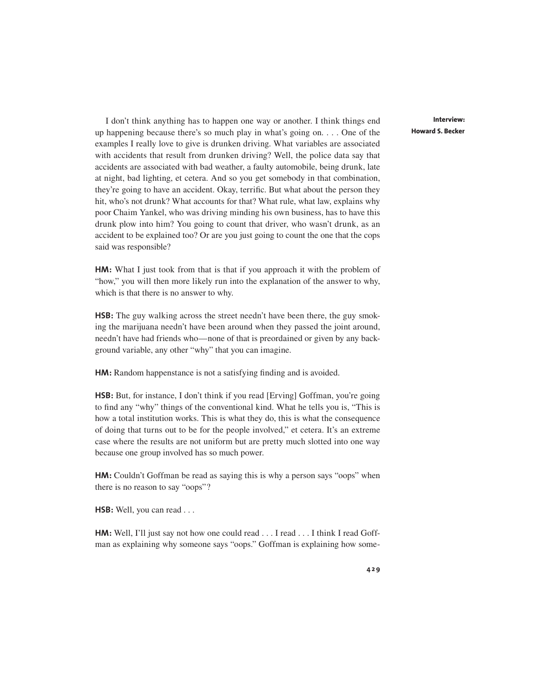I don't think anything has to happen one way or another. I think things end up happening because there's so much play in what's going on. . . . One of the examples I really love to give is drunken driving. What variables are associated with accidents that result from drunken driving? Well, the police data say that accidents are associated with bad weather, a faulty automobile, being drunk, late at night, bad lighting, et cetera. And so you get somebody in that combination, they're going to have an accident. Okay, terrific. But what about the person they hit, who's not drunk? What accounts for that? What rule, what law, explains why poor Chaim Yankel, who was driving minding his own business, has to have this drunk plow into him? You going to count that driver, who wasn't drunk, as an accident to be explained too? Or are you just going to count the one that the cops said was responsible?

**HM:** What I just took from that is that if you approach it with the problem of "how," you will then more likely run into the explanation of the answer to why, which is that there is no answer to why.

**HSB:** The guy walking across the street needn't have been there, the guy smoking the marijuana needn't have been around when they passed the joint around, needn't have had friends who—none of that is preordained or given by any background variable, any other "why" that you can imagine.

**HM:** Random happenstance is not a satisfying finding and is avoided.

**HSB:** But, for instance, I don't think if you read [Erving] Goffman, you're going to find any "why" things of the conventional kind. What he tells you is, "This is how a total institution works. This is what they do, this is what the consequence of doing that turns out to be for the people involved," et cetera. It's an extreme case where the results are not uniform but are pretty much slotted into one way because one group involved has so much power.

**HM:** Couldn't Goffman be read as saying this is why a person says "oops" when there is no reason to say "oops"?

**HSB:** Well, you can read . . .

HM: Well, I'll just say not how one could read . . . I read . . . I think I read Goffman as explaining why someone says "oops." Goffman is explaining how some-

**Interview: Howard S. Becker**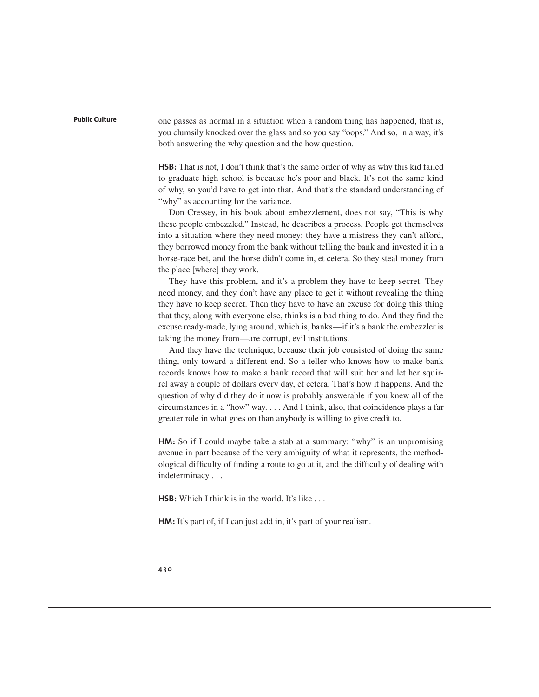**Public Culture**

one passes as normal in a situation when a random thing has happened, that is, you clumsily knocked over the glass and so you say "oops." And so, in a way, it's both answering the why question and the how question.

**HSB:** That is not, I don't think that's the same order of why as why this kid failed to graduate high school is because he's poor and black. It's not the same kind of why, so you'd have to get into that. And that's the standard understanding of "why" as accounting for the variance.

Don Cressey, in his book about embezzlement, does not say, "This is why these people embezzled." Instead, he describes a process. People get themselves into a situation where they need money: they have a mistress they can't afford, they borrowed money from the bank without telling the bank and invested it in a horse-race bet, and the horse didn't come in, et cetera. So they steal money from the place [where] they work.

They have this problem, and it's a problem they have to keep secret. They need money, and they don't have any place to get it without revealing the thing they have to keep secret. Then they have to have an excuse for doing this thing that they, along with everyone else, thinks is a bad thing to do. And they find the excuse ready-made, lying around, which is, banks — if it's a bank the embezzler is taking the money from — are corrupt, evil institutions.

And they have the technique, because their job consisted of doing the same thing, only toward a different end. So a teller who knows how to make bank records knows how to make a bank record that will suit her and let her squirrel away a couple of dollars every day, et cetera. That's how it happens. And the question of why did they do it now is probably answerable if you knew all of the circumstances in a "how" way. . . . And I think, also, that coincidence plays a far greater role in what goes on than anybody is willing to give credit to.

**HM:** So if I could maybe take a stab at a summary: "why" is an unpromising avenue in part because of the very ambiguity of what it represents, the methodological difficulty of finding a route to go at it, and the difficulty of dealing with indeterminacy . . .

**HSB:** Which I think is in the world. It's like . . .

**HM:** It's part of, if I can just add in, it's part of your realism.

**430**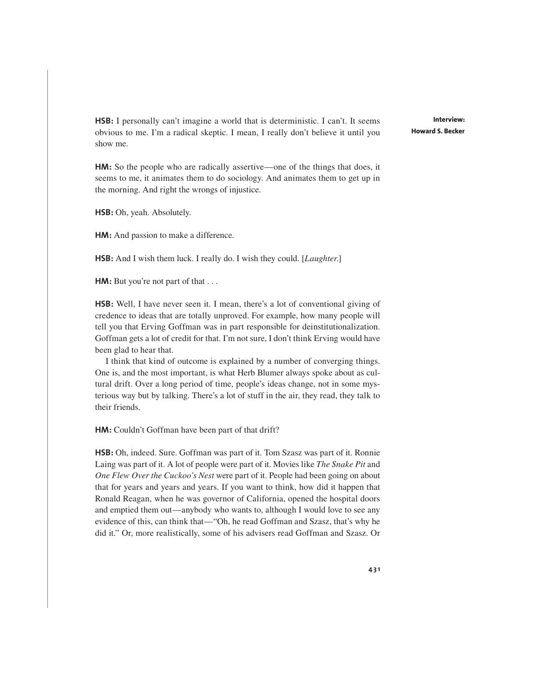**HSB:** I personally can't imagine a world that is deterministic. I can't. It seems obvious to me. I'm a radical skeptic. I mean, I really don't believe it until you show me.

**HM:** So the people who are radically assertive—one of the things that does, it seems to me, it animates them to do sociology. And animates them to get up in the morning. And right the wrongs of injustice.

**HSB:** Oh, yeah. Absolutely.

**HM:** And passion to make a difference.

**HSB:** And I wish them luck. I really do. I wish they could. [*Laughter*.]

**HM:** But you're not part of that . . .

**HSB:** Well, I have never seen it. I mean, there's a lot of conventional giving of credence to ideas that are totally unproved. For example, how many people will tell you that Erving Goffman was in part responsible for deinstitutionalization. Goffman gets a lot of credit for that. I'm not sure, I don't think Erving would have been glad to hear that.

I think that kind of outcome is explained by a number of converging things. One is, and the most important, is what Herb Blumer always spoke about as cultural drift. Over a long period of time, people's ideas change, not in some mysterious way but by talking. There's a lot of stuff in the air, they read, they talk to their friends.

**HM:** Couldn't Goffman have been part of that drift?

**HSB:** Oh, indeed. Sure. Goffman was part of it. Tom Szasz was part of it. Ronnie Laing was part of it. A lot of people were part of it. Movies like *The Snake Pit* and *One Flew Over the Cuckoo's Nest* were part of it. People had been going on about that for years and years and years. If you want to think, how did it happen that Ronald Reagan, when he was governor of California, opened the hospital doors and emptied them out—anybody who wants to, although I would love to see any evidence of this, can think that—"Oh, he read Goffman and Szasz, that's why he did it." Or, more realistically, some of his advisers read Goffman and Szasz. Or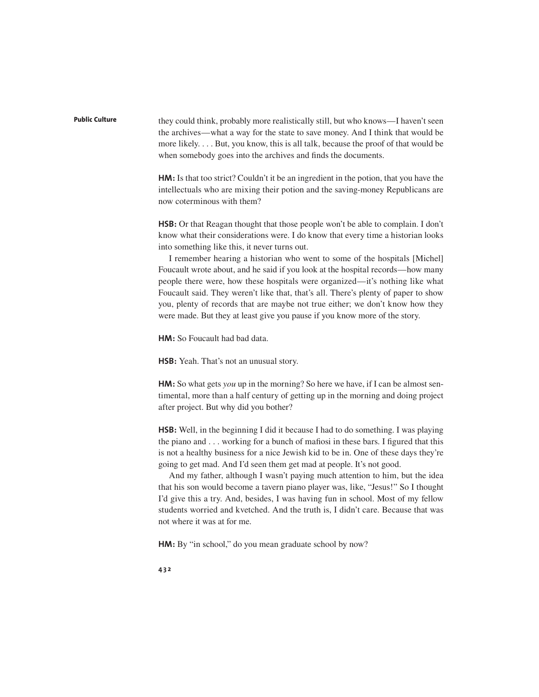## **Public Culture** they could think, probably more realistically still, but who knows — I haven't seen the archives — what a way for the state to save money. And I think that would be more likely. . . . But, you know, this is all talk, because the proof of that would be when somebody goes into the archives and finds the documents.

**HM:** Is that too strict? Couldn't it be an ingredient in the potion, that you have the intellectuals who are mixing their potion and the saving-money Republicans are now coterminous with them?

**HSB:** Or that Reagan thought that those people won't be able to complain. I don't know what their considerations were. I do know that every time a historian looks into something like this, it never turns out.

I remember hearing a historian who went to some of the hospitals [Michel] Foucault wrote about, and he said if you look at the hospital records — how many people there were, how these hospitals were organized — it's nothing like what Foucault said. They weren't like that, that's all. There's plenty of paper to show you, plenty of records that are maybe not true either; we don't know how they were made. But they at least give you pause if you know more of the story.

**HM:** So Foucault had bad data.

**HSB:** Yeah. That's not an unusual story.

**HM:** So what gets *you* up in the morning? So here we have, if I can be almost sentimental, more than a half century of getting up in the morning and doing project after project. But why did you bother?

**HSB:** Well, in the beginning I did it because I had to do something. I was playing the piano and . . . working for a bunch of mafiosi in these bars. I figured that this is not a healthy business for a nice Jewish kid to be in. One of these days they're going to get mad. And I'd seen them get mad at people. It's not good.

And my father, although I wasn't paying much attention to him, but the idea that his son would become a tavern piano player was, like, "Jesus!" So I thought I'd give this a try. And, besides, I was having fun in school. Most of my fellow students worried and kvetched. And the truth is, I didn't care. Because that was not where it was at for me.

HM: By "in school," do you mean graduate school by now?

**432**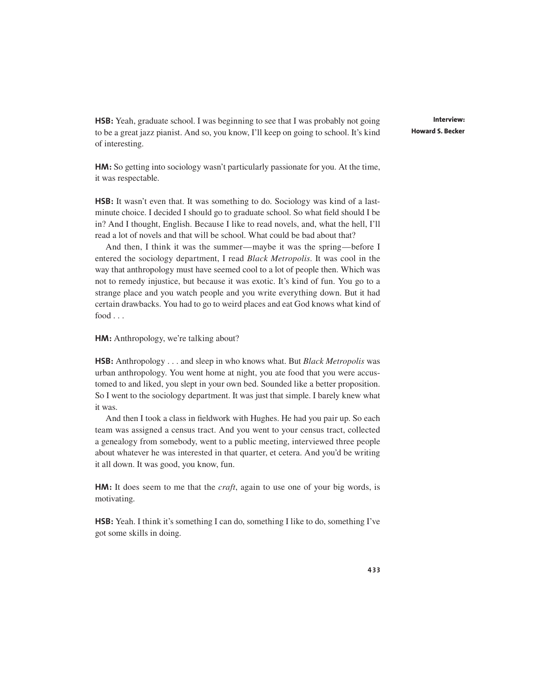**HSB:** Yeah, graduate school. I was beginning to see that I was probably not going to be a great jazz pianist. And so, you know, I'll keep on going to school. It's kind of interesting.

**Interview: Howard S. Becker**

**HM:** So getting into sociology wasn't particularly passionate for you. At the time, it was respectable.

**HSB:** It wasn't even that. It was something to do. Sociology was kind of a lastminute choice. I decided I should go to graduate school. So what field should I be in? And I thought, English. Because I like to read novels, and, what the hell, I'll read a lot of novels and that will be school. What could be bad about that?

And then, I think it was the summer—maybe it was the spring—before I entered the sociology department, I read *Black Metropolis*. It was cool in the way that anthropology must have seemed cool to a lot of people then. Which was not to remedy injustice, but because it was exotic. It's kind of fun. You go to a strange place and you watch people and you write everything down. But it had certain drawbacks. You had to go to weird places and eat God knows what kind of food . . .

**HM:** Anthropology, we're talking about?

**HSB:** Anthropology . . . and sleep in who knows what. But *Black Metropolis* was urban anthropology. You went home at night, you ate food that you were accustomed to and liked, you slept in your own bed. Sounded like a better proposition. So I went to the sociology department. It was just that simple. I barely knew what it was.

And then I took a class in fieldwork with Hughes. He had you pair up. So each team was assigned a census tract. And you went to your census tract, collected a genealogy from somebody, went to a public meeting, interviewed three people about whatever he was interested in that quarter, et cetera. And you'd be writing it all down. It was good, you know, fun.

**HM:** It does seem to me that the *craft*, again to use one of your big words, is motivating.

**HSB:** Yeah. I think it's something I can do, something I like to do, something I've got some skills in doing.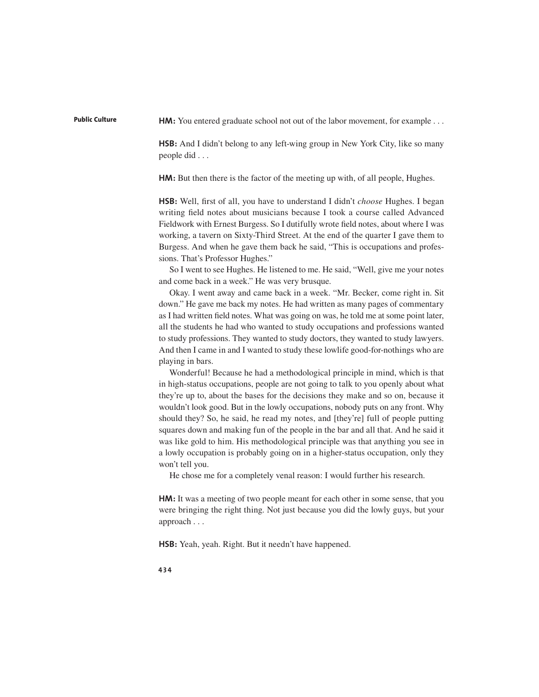**Public Culture** HM: You entered graduate school not out of the labor movement, for example . . .

> **HSB:** And I didn't belong to any left-wing group in New York City, like so many people did . . .

**HM:** But then there is the factor of the meeting up with, of all people, Hughes.

**HSB:** Well, first of all, you have to understand I didn't *choose* Hughes. I began writing field notes about musicians because I took a course called Advanced Fieldwork with Ernest Burgess. So I dutifully wrote field notes, about where I was working, a tavern on Sixty-Third Street. At the end of the quarter I gave them to Burgess. And when he gave them back he said, "This is occupations and professions. That's Professor Hughes."

So I went to see Hughes. He listened to me. He said, "Well, give me your notes and come back in a week." He was very brusque.

Okay. I went away and came back in a week. "Mr. Becker, come right in. Sit down." He gave me back my notes. He had written as many pages of commentary as I had written field notes. What was going on was, he told me at some point later, all the students he had who wanted to study occupations and professions wanted to study professions. They wanted to study doctors, they wanted to study lawyers. And then I came in and I wanted to study these lowlife good-for-nothings who are playing in bars.

Wonderful! Because he had a methodological principle in mind, which is that in high-status occupations, people are not going to talk to you openly about what they're up to, about the bases for the decisions they make and so on, because it wouldn't look good. But in the lowly occupations, nobody puts on any front. Why should they? So, he said, he read my notes, and [they're] full of people putting squares down and making fun of the people in the bar and all that. And he said it was like gold to him. His methodological principle was that anything you see in a lowly occupation is probably going on in a higher-status occupation, only they won't tell you.

He chose me for a completely venal reason: I would further his research.

**HM:** It was a meeting of two people meant for each other in some sense, that you were bringing the right thing. Not just because you did the lowly guys, but your approach . . .

**HSB:** Yeah, yeah. Right. But it needn't have happened.

**434**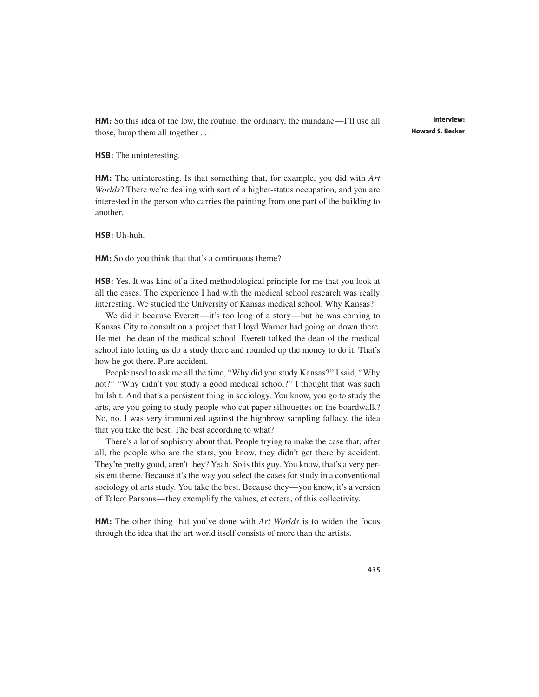HM: So this idea of the low, the routine, the ordinary, the mundane—I'll use all those, lump them all together . . .

**Interview: Howard S. Becker**

**HSB:** The uninteresting.

**HM:** The uninteresting. Is that something that, for example, you did with *Art Worlds*? There we're dealing with sort of a higher-status occupation, and you are interested in the person who carries the painting from one part of the building to another.

**HSB:** Uh-huh.

HM: So do you think that that's a continuous theme?

**HSB:** Yes. It was kind of a fixed methodological principle for me that you look at all the cases. The experience I had with the medical school research was really interesting. We studied the University of Kansas medical school. Why Kansas?

We did it because Everett—it's too long of a story—but he was coming to Kansas City to consult on a project that Lloyd Warner had going on down there. He met the dean of the medical school. Everett talked the dean of the medical school into letting us do a study there and rounded up the money to do it. That's how he got there. Pure accident.

People used to ask me all the time, "Why did you study Kansas?" I said, "Why not?" "Why didn't you study a good medical school?" I thought that was such bullshit. And that's a persistent thing in sociology. You know, you go to study the arts, are you going to study people who cut paper silhouettes on the boardwalk? No, no. I was very immunized against the highbrow sampling fallacy, the idea that you take the best. The best according to what?

There's a lot of sophistry about that. People trying to make the case that, after all, the people who are the stars, you know, they didn't get there by accident. They're pretty good, aren't they? Yeah. So is this guy. You know, that's a very persistent theme. Because it's the way you select the cases for study in a conventional sociology of arts study. You take the best. Because they—you know, it's a version of Talcot Parsons — they exemplify the values, et cetera, of this collectivity.

**HM:** The other thing that you've done with *Art Worlds* is to widen the focus through the idea that the art world itself consists of more than the artists.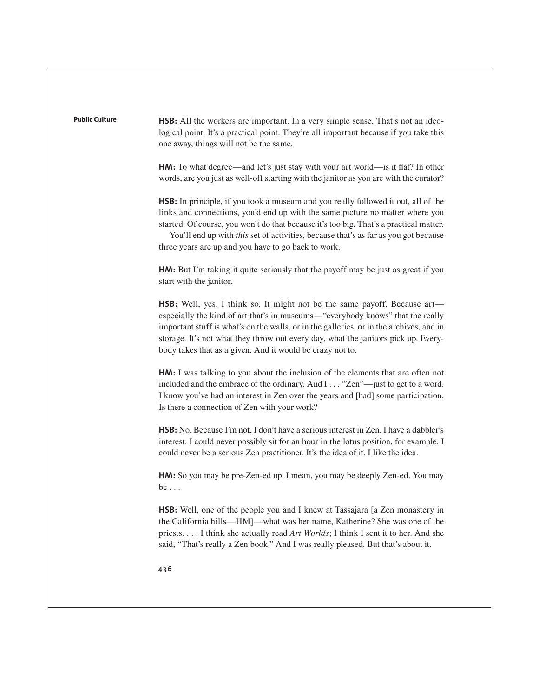| <b>Public Culture</b> | HSB: All the workers are important. In a very simple sense. That's not an ideo-                                                                                                                                                                                                                                                                                                                             |
|-----------------------|-------------------------------------------------------------------------------------------------------------------------------------------------------------------------------------------------------------------------------------------------------------------------------------------------------------------------------------------------------------------------------------------------------------|
|                       | logical point. It's a practical point. They're all important because if you take this<br>one away, things will not be the same.                                                                                                                                                                                                                                                                             |
|                       | HM: To what degree—and let's just stay with your art world—is it flat? In other<br>words, are you just as well-off starting with the janitor as you are with the curator?                                                                                                                                                                                                                                   |
|                       | HSB: In principle, if you took a museum and you really followed it out, all of the<br>links and connections, you'd end up with the same picture no matter where you<br>started. Of course, you won't do that because it's too big. That's a practical matter.<br>You'll end up with this set of activities, because that's as far as you got because<br>three years are up and you have to go back to work. |
|                       | HM: But I'm taking it quite seriously that the payoff may be just as great if you<br>start with the janitor.                                                                                                                                                                                                                                                                                                |
|                       | HSB: Well, yes. I think so. It might not be the same payoff. Because art-<br>especially the kind of art that's in museums-"everybody knows" that the really<br>important stuff is what's on the walls, or in the galleries, or in the archives, and in<br>storage. It's not what they throw out every day, what the janitors pick up. Every-<br>body takes that as a given. And it would be crazy not to.   |
|                       | HM: I was talking to you about the inclusion of the elements that are often not<br>included and the embrace of the ordinary. And I "Zen"—just to get to a word.<br>I know you've had an interest in Zen over the years and [had] some participation.<br>Is there a connection of Zen with your work?                                                                                                        |
|                       | HSB: No. Because I'm not, I don't have a serious interest in Zen. I have a dabbler's<br>interest. I could never possibly sit for an hour in the lotus position, for example. I<br>could never be a serious Zen practitioner. It's the idea of it. I like the idea.                                                                                                                                          |
|                       | HM: So you may be pre-Zen-ed up. I mean, you may be deeply Zen-ed. You may<br>be $\ldots$                                                                                                                                                                                                                                                                                                                   |
|                       | HSB: Well, one of the people you and I knew at Tassajara [a Zen monastery in<br>the California hills—HM]—what was her name, Katherine? She was one of the<br>priests I think she actually read Art Worlds; I think I sent it to her. And she<br>said, "That's really a Zen book." And I was really pleased. But that's about it.                                                                            |
|                       |                                                                                                                                                                                                                                                                                                                                                                                                             |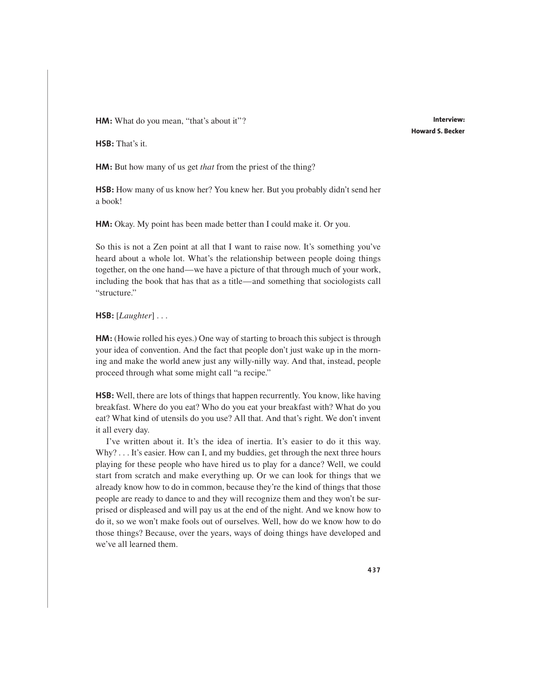HM: What do you mean, "that's about it"?

**Interview: Howard S. Becker**

**HSB:** That's it.

**HM:** But how many of us get *that* from the priest of the thing?

**HSB:** How many of us know her? You knew her. But you probably didn't send her a book!

**HM:** Okay. My point has been made better than I could make it. Or you.

So this is not a Zen point at all that I want to raise now. It's something you've heard about a whole lot. What's the relationship between people doing things together, on the one hand—we have a picture of that through much of your work, including the book that has that as a title — and something that sociologists call "structure."

**HSB:** [*Laughter*] . . .

**HM:** (Howie rolled his eyes.) One way of starting to broach this subject is through your idea of convention. And the fact that people don't just wake up in the morning and make the world anew just any willy-nilly way. And that, instead, people proceed through what some might call "a recipe."

**HSB:** Well, there are lots of things that happen recurrently. You know, like having breakfast. Where do you eat? Who do you eat your breakfast with? What do you eat? What kind of utensils do you use? All that. And that's right. We don't invent it all every day.

I've written about it. It's the idea of inertia. It's easier to do it this way. Why? . . . It's easier. How can I, and my buddies, get through the next three hours playing for these people who have hired us to play for a dance? Well, we could start from scratch and make everything up. Or we can look for things that we already know how to do in common, because they're the kind of things that those people are ready to dance to and they will recognize them and they won't be surprised or displeased and will pay us at the end of the night. And we know how to do it, so we won't make fools out of ourselves. Well, how do we know how to do those things? Because, over the years, ways of doing things have developed and we've all learned them.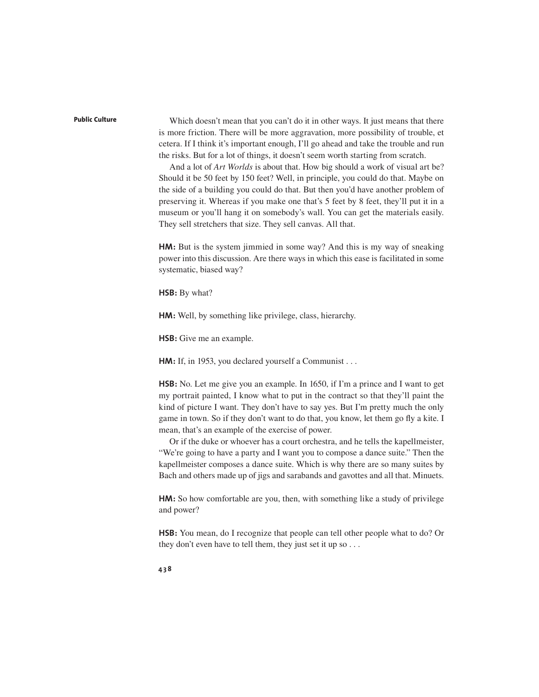## **Public Culture**

Which doesn't mean that you can't do it in other ways. It just means that there is more friction. There will be more aggravation, more possibility of trouble, et cetera. If I think it's important enough, I'll go ahead and take the trouble and run the risks. But for a lot of things, it doesn't seem worth starting from scratch.

And a lot of *Art Worlds* is about that. How big should a work of visual art be? Should it be 50 feet by 150 feet? Well, in principle, you could do that. Maybe on the side of a building you could do that. But then you'd have another problem of preserving it. Whereas if you make one that's 5 feet by 8 feet, they'll put it in a museum or you'll hang it on somebody's wall. You can get the materials easily. They sell stretchers that size. They sell canvas. All that.

**HM:** But is the system jimmied in some way? And this is my way of sneaking power into this discussion. Are there ways in which this ease is facilitated in some systematic, biased way?

**HSB:** By what?

**HM:** Well, by something like privilege, class, hierarchy.

**HSB:** Give me an example.

**HM:** If, in 1953, you declared yourself a Communist . . .

**HSB:** No. Let me give you an example. In 1650, if I'm a prince and I want to get my portrait painted, I know what to put in the contract so that they'll paint the kind of picture I want. They don't have to say yes. But I'm pretty much the only game in town. So if they don't want to do that, you know, let them go fly a kite. I mean, that's an example of the exercise of power.

Or if the duke or whoever has a court orchestra, and he tells the kapellmeister, "We're going to have a party and I want you to compose a dance suite." Then the kapellmeister composes a dance suite. Which is why there are so many suites by Bach and others made up of jigs and sarabands and gavottes and all that. Minuets.

**HM:** So how comfortable are you, then, with something like a study of privilege and power?

**HSB:** You mean, do I recognize that people can tell other people what to do? Or they don't even have to tell them, they just set it up so . . .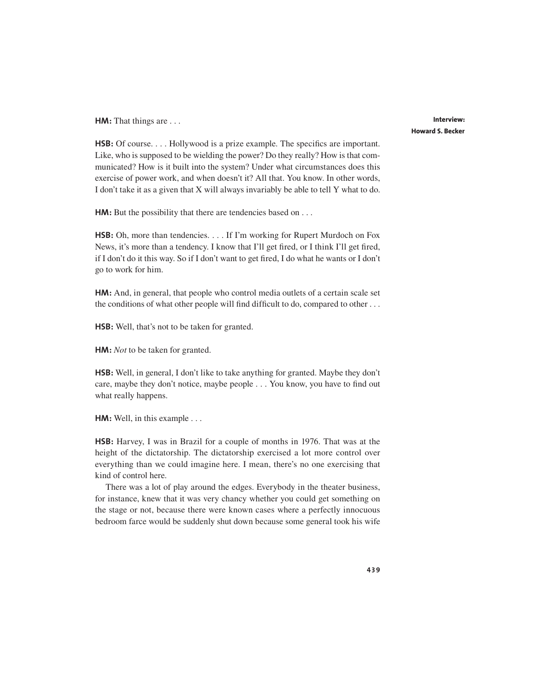**HM:** That things are . . .

**HSB:** Of course. . . . Hollywood is a prize example. The specifics are important. Like, who is supposed to be wielding the power? Do they really? How is that communicated? How is it built into the system? Under what circumstances does this exercise of power work, and when doesn't it? All that. You know. In other words, I don't take it as a given that X will always invariably be able to tell Y what to do.

**HM:** But the possibility that there are tendencies based on . . .

**HSB:** Oh, more than tendencies. . . . If I'm working for Rupert Murdoch on Fox News, it's more than a tendency. I know that I'll get fired, or I think I'll get fired, if I don't do it this way. So if I don't want to get fired, I do what he wants or I don't go to work for him.

**HM:** And, in general, that people who control media outlets of a certain scale set the conditions of what other people will find difficult to do, compared to other . . .

**HSB:** Well, that's not to be taken for granted.

**HM:** *Not* to be taken for granted.

**HSB:** Well, in general, I don't like to take anything for granted. Maybe they don't care, maybe they don't notice, maybe people . . . You know, you have to find out what really happens.

**HM:** Well, in this example . . .

**HSB:** Harvey, I was in Brazil for a couple of months in 1976. That was at the height of the dictatorship. The dictatorship exercised a lot more control over everything than we could imagine here. I mean, there's no one exercising that kind of control here.

There was a lot of play around the edges. Everybody in the theater business, for instance, knew that it was very chancy whether you could get something on the stage or not, because there were known cases where a perfectly innocuous bedroom farce would be suddenly shut down because some general took his wife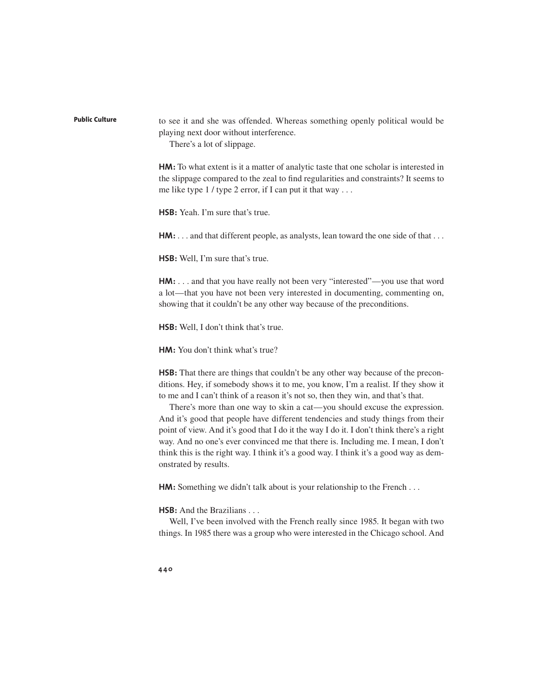**Public Culture** to see it and she was offended. Whereas something openly political would be playing next door without interference.

There's a lot of slippage.

**HM:** To what extent is it a matter of analytic taste that one scholar is interested in the slippage compared to the zeal to find regularities and constraints? It seems to me like type 1 / type 2 error, if I can put it that way . . .

**HSB:** Yeah. I'm sure that's true.

HM: . . . and that different people, as analysts, lean toward the one side of that . . .

**HSB:** Well, I'm sure that's true.

HM: . . . and that you have really not been very "interested"—you use that word a lot — that you have not been very interested in documenting, commenting on, showing that it couldn't be any other way because of the preconditions.

**HSB:** Well, I don't think that's true.

**HM:** You don't think what's true?

**HSB:** That there are things that couldn't be any other way because of the preconditions. Hey, if somebody shows it to me, you know, I'm a realist. If they show it to me and I can't think of a reason it's not so, then they win, and that's that.

There's more than one way to skin a cat—you should excuse the expression. And it's good that people have different tendencies and study things from their point of view. And it's good that I do it the way I do it. I don't think there's a right way. And no one's ever convinced me that there is. Including me. I mean, I don't think this is the right way. I think it's a good way. I think it's a good way as demonstrated by results.

**HM:** Something we didn't talk about is your relationship to the French . . .

**HSB:** And the Brazilians . . .

Well, I've been involved with the French really since 1985. It began with two things. In 1985 there was a group who were interested in the Chicago school. And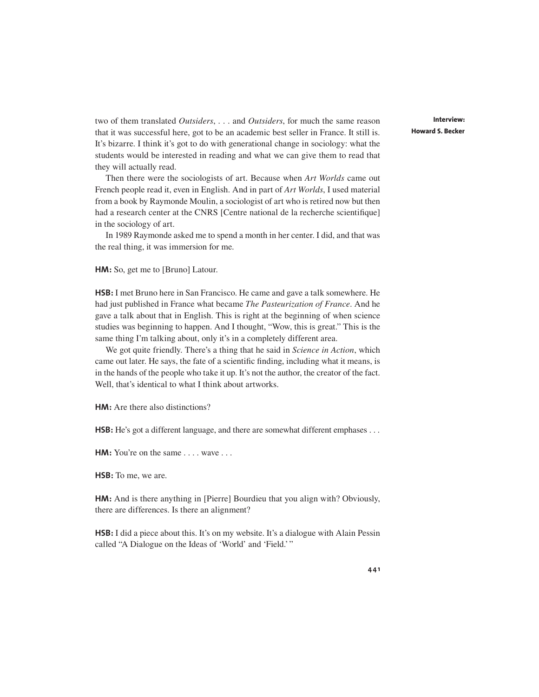two of them translated *Outsiders*, . . . and *Outsiders*, for much the same reason that it was successful here, got to be an academic best seller in France. It still is. It's bizarre. I think it's got to do with generational change in sociology: what the students would be interested in reading and what we can give them to read that they will actually read.

Then there were the sociologists of art. Because when *Art Worlds* came out French people read it, even in English. And in part of *Art Worlds*, I used material from a book by Raymonde Moulin, a sociologist of art who is retired now but then had a research center at the CNRS [Centre national de la recherche scientifique] in the sociology of art.

In 1989 Raymonde asked me to spend a month in her center. I did, and that was the real thing, it was immersion for me.

**HM:** So, get me to [Bruno] Latour.

**HSB:** I met Bruno here in San Francisco. He came and gave a talk somewhere. He had just published in France what became *The Pasteurization of France*. And he gave a talk about that in English. This is right at the beginning of when science studies was beginning to happen. And I thought, "Wow, this is great." This is the same thing I'm talking about, only it's in a completely different area.

We got quite friendly. There's a thing that he said in *Science in Action*, which came out later. He says, the fate of a scientific finding, including what it means, is in the hands of the people who take it up. It's not the author, the creator of the fact. Well, that's identical to what I think about artworks.

**HM:** Are there also distinctions?

**HSB:** He's got a different language, and there are somewhat different emphases . . .

**HM:** You're on the same . . . . wave . . .

**HSB:** To me, we are.

**HM:** And is there anything in [Pierre] Bourdieu that you align with? Obviously, there are differences. Is there an alignment?

**HSB:** I did a piece about this. It's on my website. It's a dialogue with Alain Pessin called "A Dialogue on the Ideas of 'World' and 'Field.' "

**Interview: Howard S. Becker**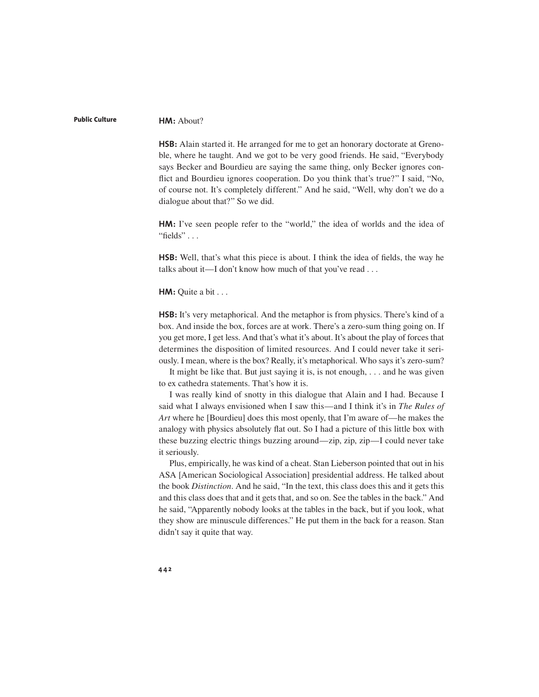#### **Public Culture HM:** About?

**HSB:** Alain started it. He arranged for me to get an honorary doctorate at Grenoble, where he taught. And we got to be very good friends. He said, "Everybody says Becker and Bourdieu are saying the same thing, only Becker ignores conflict and Bourdieu ignores cooperation. Do you think that's true?" I said, "No, of course not. It's completely different." And he said, "Well, why don't we do a dialogue about that?" So we did.

**HM:** I've seen people refer to the "world," the idea of worlds and the idea of "fields"  $\ldots$ 

**HSB:** Well, that's what this piece is about. I think the idea of fields, the way he talks about it—I don't know how much of that you've read . . .

**HM:** Quite a bit . . .

**HSB:** It's very metaphorical. And the metaphor is from physics. There's kind of a box. And inside the box, forces are at work. There's a zero-sum thing going on. If you get more, I get less. And that's what it's about. It's about the play of forces that determines the disposition of limited resources. And I could never take it seriously. I mean, where is the box? Really, it's metaphorical. Who says it's zero-sum?

It might be like that. But just saying it is, is not enough, . . . and he was given to ex cathedra statements. That's how it is.

I was really kind of snotty in this dialogue that Alain and I had. Because I said what I always envisioned when I saw this — and I think it's in *The Rules of Art* where he [Bourdieu] does this most openly, that I'm aware of — he makes the analogy with physics absolutely flat out. So I had a picture of this little box with these buzzing electric things buzzing around — zip, zip, zip — I could never take it seriously.

Plus, empirically, he was kind of a cheat. Stan Lieberson pointed that out in his ASA [American Sociological Association] presidential address. He talked about the book *Distinction*. And he said, "In the text, this class does this and it gets this and this class does that and it gets that, and so on. See the tables in the back." And he said, "Apparently nobody looks at the tables in the back, but if you look, what they show are minuscule differences." He put them in the back for a reason. Stan didn't say it quite that way.